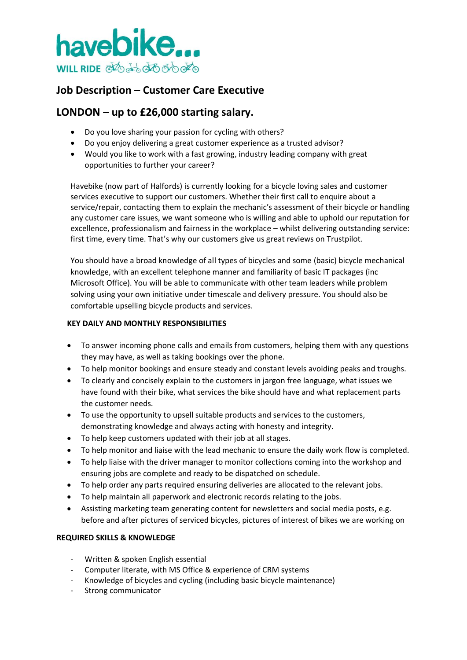

# **Job Description – Customer Care Executive**

## **LONDON – up to £26,000 starting salary.**

- Do you love sharing your passion for cycling with others?
- Do you enjoy delivering a great customer experience as a trusted advisor?
- Would you like to work with a fast growing, industry leading company with great opportunities to further your career?

Havebike (now part of Halfords) is currently looking for a bicycle loving sales and customer services executive to support our customers. Whether their first call to enquire about a service/repair, contacting them to explain the mechanic's assessment of their bicycle or handling any customer care issues, we want someone who is willing and able to uphold our reputation for excellence, professionalism and fairness in the workplace – whilst delivering outstanding service: first time, every time. That's why our customers give us great reviews on Trustpilot.

You should have a broad knowledge of all types of bicycles and some (basic) bicycle mechanical knowledge, with an excellent telephone manner and familiarity of basic IT packages (inc Microsoft Office). You will be able to communicate with other team leaders while problem solving using your own initiative under timescale and delivery pressure. You should also be comfortable upselling bicycle products and services.

## **KEY DAILY AND MONTHLY RESPONSIBILITIES**

- To answer incoming phone calls and emails from customers, helping them with any questions they may have, as well as taking bookings over the phone.
- To help monitor bookings and ensure steady and constant levels avoiding peaks and troughs.
- To clearly and concisely explain to the customers in jargon free language, what issues we have found with their bike, what services the bike should have and what replacement parts the customer needs.
- To use the opportunity to upsell suitable products and services to the customers, demonstrating knowledge and always acting with honesty and integrity.
- To help keep customers updated with their job at all stages.
- To help monitor and liaise with the lead mechanic to ensure the daily work flow is completed.
- To help liaise with the driver manager to monitor collections coming into the workshop and ensuring jobs are complete and ready to be dispatched on schedule.
- To help order any parts required ensuring deliveries are allocated to the relevant jobs.
- To help maintain all paperwork and electronic records relating to the jobs.
- Assisting marketing team generating content for newsletters and social media posts, e.g. before and after pictures of serviced bicycles, pictures of interest of bikes we are working on

## **REQUIRED SKILLS & KNOWLEDGE**

- Written & spoken English essential
- Computer literate, with MS Office & experience of CRM systems
- Knowledge of bicycles and cycling (including basic bicycle maintenance)
- Strong communicator